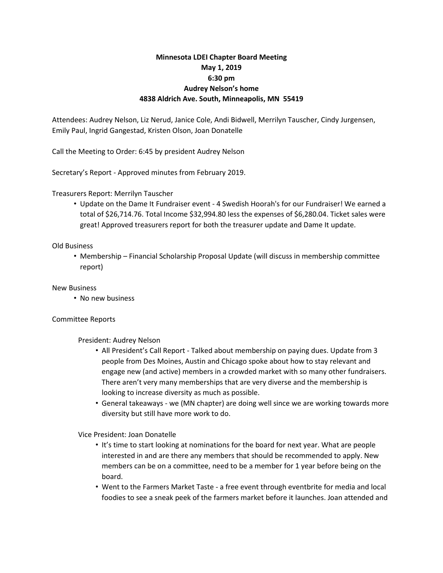# **Minnesota LDEI Chapter Board Meeting May 1, 2019 6:30 pm Audrey Nelson's home 4838 Aldrich Ave. South, Minneapolis, MN 55419**

Attendees: Audrey Nelson, Liz Nerud, Janice Cole, Andi Bidwell, Merrilyn Tauscher, Cindy Jurgensen, Emily Paul, Ingrid Gangestad, Kristen Olson, Joan Donatelle

Call the Meeting to Order: 6:45 by president Audrey Nelson

Secretary's Report - Approved minutes from February 2019.

Treasurers Report: Merrilyn Tauscher

• Update on the Dame It Fundraiser event - 4 Swedish Hoorah's for our Fundraiser! We earned a total of \$26,714.76. Total Income \$32,994.80 less the expenses of \$6,280.04. Ticket sales were great! Approved treasurers report for both the treasurer update and Dame It update.

## Old Business

• Membership – Financial Scholarship Proposal Update (will discuss in membership committee report)

### New Business

• No new business

## Committee Reports

## President: Audrey Nelson

- All President's Call Report Talked about membership on paying dues. Update from 3 people from Des Moines, Austin and Chicago spoke about how to stay relevant and engage new (and active) members in a crowded market with so many other fundraisers. There aren't very many memberships that are very diverse and the membership is looking to increase diversity as much as possible.
- General takeaways we (MN chapter) are doing well since we are working towards more diversity but still have more work to do.

Vice President: Joan Donatelle

- It's time to start looking at nominations for the board for next year. What are people interested in and are there any members that should be recommended to apply. New members can be on a committee, need to be a member for 1 year before being on the board.
- Went to the Farmers Market Taste a free event through eventbrite for media and local foodies to see a sneak peek of the farmers market before it launches. Joan attended and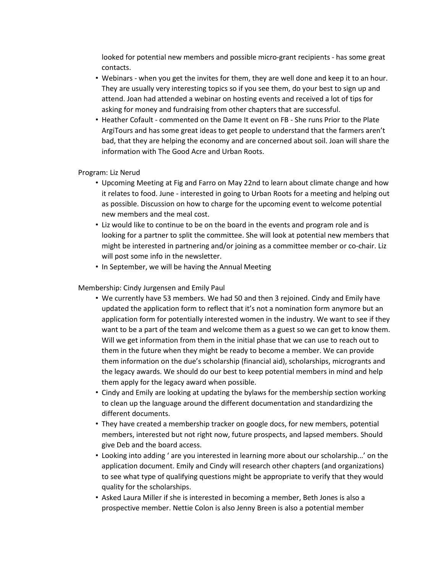looked for potential new members and possible micro-grant recipients - has some great contacts.

- Webinars when you get the invites for them, they are well done and keep it to an hour. They are usually very interesting topics so if you see them, do your best to sign up and attend. Joan had attended a webinar on hosting events and received a lot of tips for asking for money and fundraising from other chapters that are successful.
- Heather Cofault commented on the Dame It event on FB She runs Prior to the Plate ArgiTours and has some great ideas to get people to understand that the farmers aren't bad, that they are helping the economy and are concerned about soil. Joan will share the information with The Good Acre and Urban Roots.

## Program: Liz Nerud

- Upcoming Meeting at Fig and Farro on May 22nd to learn about climate change and how it relates to food. June - interested in going to Urban Roots for a meeting and helping out as possible. Discussion on how to charge for the upcoming event to welcome potential new members and the meal cost.
- Liz would like to continue to be on the board in the events and program role and is looking for a partner to split the committee. She will look at potential new members that might be interested in partnering and/or joining as a committee member or co-chair. Liz will post some info in the newsletter.
- In September, we will be having the Annual Meeting

Membership: Cindy Jurgensen and Emily Paul

- We currently have 53 members. We had 50 and then 3 rejoined. Cindy and Emily have updated the application form to reflect that it's not a nomination form anymore but an application form for potentially interested women in the industry. We want to see if they want to be a part of the team and welcome them as a guest so we can get to know them. Will we get information from them in the initial phase that we can use to reach out to them in the future when they might be ready to become a member. We can provide them information on the due's scholarship (financial aid), scholarships, microgrants and the legacy awards. We should do our best to keep potential members in mind and help them apply for the legacy award when possible.
- Cindy and Emily are looking at updating the bylaws for the membership section working to clean up the language around the different documentation and standardizing the different documents.
- They have created a membership tracker on google docs, for new members, potential members, interested but not right now, future prospects, and lapsed members. Should give Deb and the board access.
- Looking into adding ' are you interested in learning more about our scholarship...' on the application document. Emily and Cindy will research other chapters (and organizations) to see what type of qualifying questions might be appropriate to verify that they would quality for the scholarships.
- Asked Laura Miller if she is interested in becoming a member, Beth Jones is also a prospective member. Nettie Colon is also Jenny Breen is also a potential member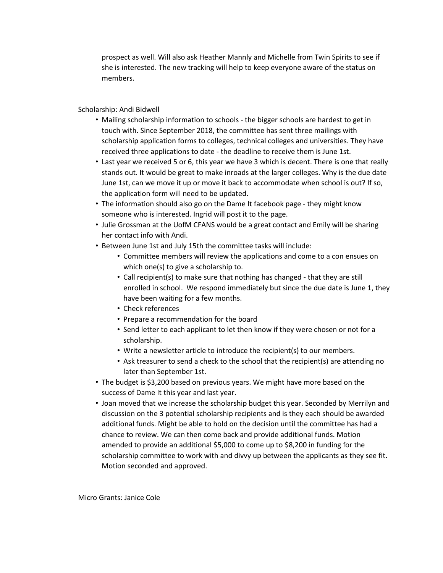prospect as well. Will also ask Heather Mannly and Michelle from Twin Spirits to see if she is interested. The new tracking will help to keep everyone aware of the status on members.

Scholarship: Andi Bidwell

- Mailing scholarship information to schools the bigger schools are hardest to get in touch with. Since September 2018, the committee has sent three mailings with scholarship application forms to colleges, technical colleges and universities. They have received three applications to date - the deadline to receive them is June 1st.
- Last year we received 5 or 6, this year we have 3 which is decent. There is one that really stands out. It would be great to make inroads at the larger colleges. Why is the due date June 1st, can we move it up or move it back to accommodate when school is out? If so, the application form will need to be updated.
- The information should also go on the Dame It facebook page they might know someone who is interested. Ingrid will post it to the page.
- Julie Grossman at the UofM CFANS would be a great contact and Emily will be sharing her contact info with Andi.
- Between June 1st and July 15th the committee tasks will include:
	- Committee members will review the applications and come to a con ensues on which one(s) to give a scholarship to.
	- Call recipient(s) to make sure that nothing has changed that they are still enrolled in school. We respond immediately but since the due date is June 1, they have been waiting for a few months.
	- Check references
	- Prepare a recommendation for the board
	- Send letter to each applicant to let then know if they were chosen or not for a scholarship.
	- Write a newsletter article to introduce the recipient(s) to our members.
	- Ask treasurer to send a check to the school that the recipient(s) are attending no later than September 1st.
- The budget is \$3,200 based on previous years. We might have more based on the success of Dame It this year and last year.
- Joan moved that we increase the scholarship budget this year. Seconded by Merrilyn and discussion on the 3 potential scholarship recipients and is they each should be awarded additional funds. Might be able to hold on the decision until the committee has had a chance to review. We can then come back and provide additional funds. Motion amended to provide an additional \$5,000 to come up to \$8,200 in funding for the scholarship committee to work with and divvy up between the applicants as they see fit. Motion seconded and approved.

Micro Grants: Janice Cole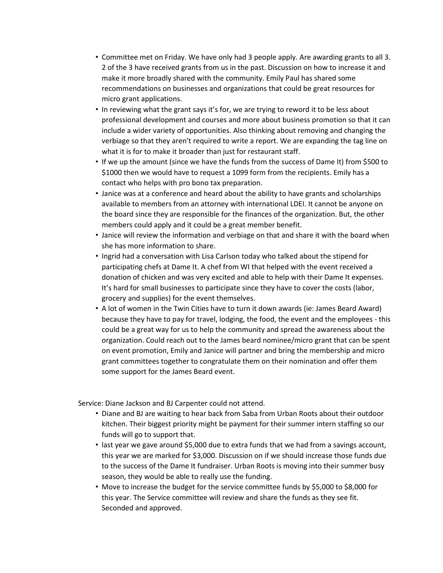- Committee met on Friday. We have only had 3 people apply. Are awarding grants to all 3. 2 of the 3 have received grants from us in the past. Discussion on how to increase it and make it more broadly shared with the community. Emily Paul has shared some recommendations on businesses and organizations that could be great resources for micro grant applications.
- In reviewing what the grant says it's for, we are trying to reword it to be less about professional development and courses and more about business promotion so that it can include a wider variety of opportunities. Also thinking about removing and changing the verbiage so that they aren't required to write a report. We are expanding the tag line on what it is for to make it broader than just for restaurant staff.
- If we up the amount (since we have the funds from the success of Dame It) from \$500 to \$1000 then we would have to request a 1099 form from the recipients. Emily has a contact who helps with pro bono tax preparation.
- Janice was at a conference and heard about the ability to have grants and scholarships available to members from an attorney with international LDEI. It cannot be anyone on the board since they are responsible for the finances of the organization. But, the other members could apply and it could be a great member benefit.
- Janice will review the information and verbiage on that and share it with the board when she has more information to share.
- Ingrid had a conversation with Lisa Carlson today who talked about the stipend for participating chefs at Dame It. A chef from WI that helped with the event received a donation of chicken and was very excited and able to help with their Dame It expenses. It's hard for small businesses to participate since they have to cover the costs (labor, grocery and supplies) for the event themselves.
- A lot of women in the Twin Cities have to turn it down awards (ie: James Beard Award) because they have to pay for travel, lodging, the food, the event and the employees - this could be a great way for us to help the community and spread the awareness about the organization. Could reach out to the James beard nominee/micro grant that can be spent on event promotion, Emily and Janice will partner and bring the membership and micro grant committees together to congratulate them on their nomination and offer them some support for the James Beard event.

Service: Diane Jackson and BJ Carpenter could not attend.

- Diane and BJ are waiting to hear back from Saba from Urban Roots about their outdoor kitchen. Their biggest priority might be payment for their summer intern staffing so our funds will go to support that.
- last year we gave around \$5,000 due to extra funds that we had from a savings account, this year we are marked for \$3,000. Discussion on if we should increase those funds due to the success of the Dame It fundraiser. Urban Roots is moving into their summer busy season, they would be able to really use the funding.
- Move to increase the budget for the service committee funds by \$5,000 to \$8,000 for this year. The Service committee will review and share the funds as they see fit. Seconded and approved.